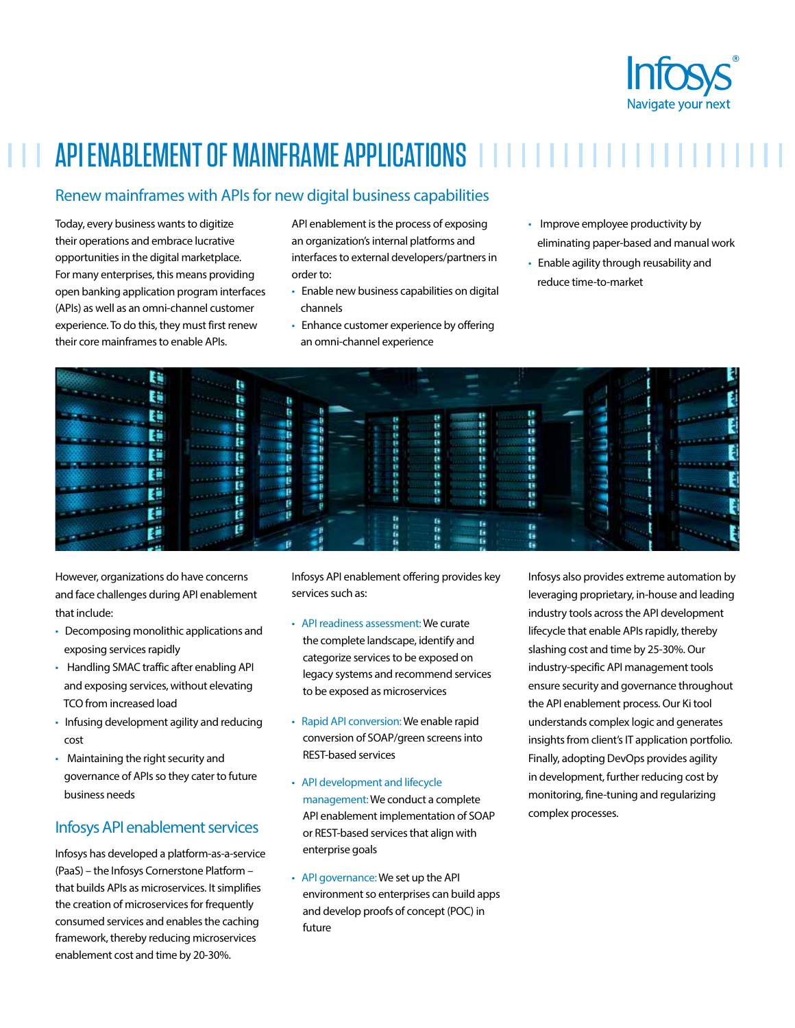

# API ENABLEMENT OF MAINFRAME APPLICATIONS IIIIIIIIIIIIIIII

## Renew mainframes with APIs for new digital business capabilities

Today, every business wants to digitize their operations and embrace lucrative opportunities in the digital marketplace. For many enterprises, this means providing open banking application program interfaces (APIs) as well as an omni-channel customer experience. To do this, they must first renew their core mainframes to enable APIs.

API enablement is the process of exposing an organization's internal platforms and interfaces to external developers/partners in order to:

- Enable new business capabilities on digital channels
- Enhance customer experience by offering an omni-channel experience
- Improve employee productivity by eliminating paper-based and manual work
- Enable agility through reusability and reduce time-to-market



However, organizations do have concerns and face challenges during API enablement that include:

- Decomposing monolithic applications and exposing services rapidly
- Handling SMAC traffic after enabling API and exposing services, without elevating TCO from increased load
- Infusing development agility and reducing cost
- Maintaining the right security and governance of APIs so they cater to future business needs

## Infosys API enablement services

Infosys has developed a platform-as-a-service (PaaS) – the Infosys Cornerstone Platform – that builds APIs as microservices. It simplifies the creation of microservices for frequently consumed services and enables the caching framework, thereby reducing microservices enablement cost and time by 20-30%.

Infosys API enablement offering provides key services such as:

- API readiness assessment:We curate the complete landscape, identify and categorize services to be exposed on legacy systems and recommend services to be exposed as microservices
- Rapid API conversion: We enable rapid conversion of SOAP/green screens into REST-based services
- API development and lifecycle management: We conduct a complete API enablement implementation of SOAP or REST-based services that align with enterprise goals
- API governance: We set up the API environment so enterprises can build apps and develop proofs of concept (POC) in future

Infosys also provides extreme automation by leveraging proprietary, in-house and leading industry tools across the API development lifecycle that enable APIs rapidly, thereby slashing cost and time by 25-30%. Our industry-specific API management tools ensure security and governance throughout the API enablement process. Our Ki tool understands complex logic and generates insights from client's IT application portfolio. Finally, adopting DevOps provides agility in development, further reducing cost by monitoring, fine-tuning and regularizing complex processes.